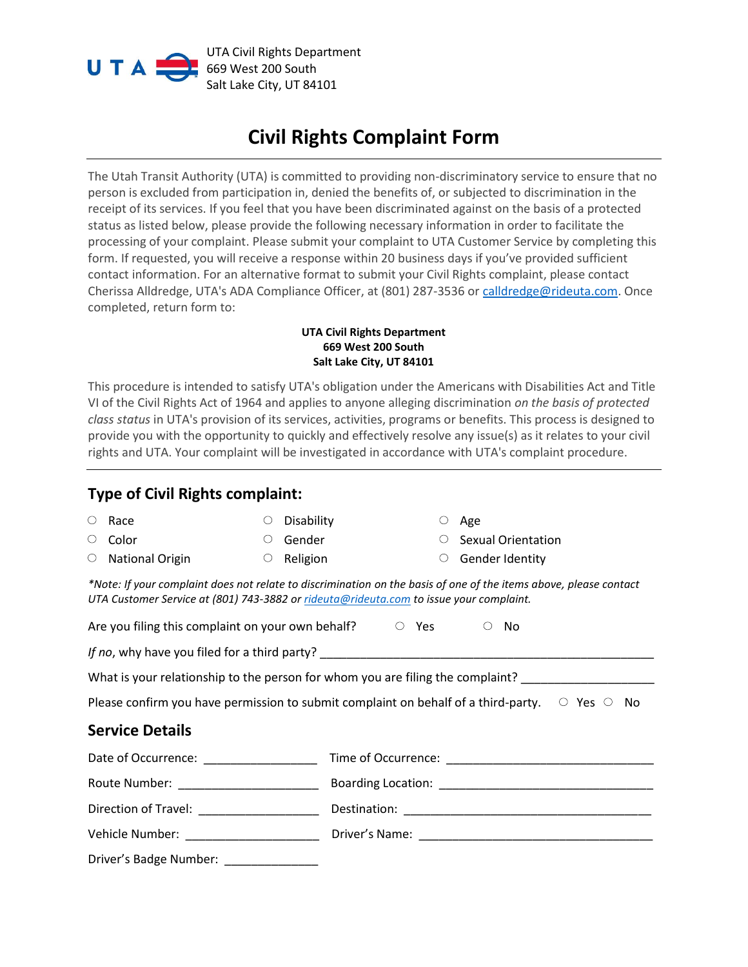

UTA Civil Rights Department 669 West 200 South Salt Lake City, UT 84101

## **Civil Rights Complaint Form**

The Utah Transit Authority (UTA) is committed to providing non-discriminatory service to ensure that no person is excluded from participation in, denied the benefits of, or subjected to discrimination in the receipt of its services. If you feel that you have been discriminated against on the basis of a protected status as listed below, please provide the following necessary information in order to facilitate the processing of your complaint. Please submit your complaint to UTA Customer Service by completing this form. If requested, you will receive a response within 20 business days if you've provided sufficient contact information. For an alternative format to submit your Civil Rights complaint, please contact Cherissa Alldredge, UTA's ADA Compliance Officer, at (801) 287-3536 or [calldredge@rideuta.com.](mailto:calldredge@rideuta.com) Once completed, return form to:

## **UTA Civil Rights Department 669 West 200 South Salt Lake City, UT 84101**

This procedure is intended to satisfy UTA's obligation under the Americans with Disabilities Act and Title VI of the Civil Rights Act of 1964 and applies to anyone alleging discrimination *on the basis of protected class status* in UTA's provision of its services, activities, programs or benefits. This process is designed to provide you with the opportunity to quickly and effectively resolve any issue(s) as it relates to your civil rights and UTA. Your complaint will be investigated in accordance with UTA's complaint procedure.

## **Type of Civil Rights complaint:**

| $\circlearrowright$                                                                                                                                                                                         | Race                   | O       | Disability |  |  |  |  | Age                       |  |
|-------------------------------------------------------------------------------------------------------------------------------------------------------------------------------------------------------------|------------------------|---------|------------|--|--|--|--|---------------------------|--|
| O                                                                                                                                                                                                           | Color                  | $\circ$ | Gender     |  |  |  |  | <b>Sexual Orientation</b> |  |
| O                                                                                                                                                                                                           | <b>National Origin</b> | $\circ$ | Religion   |  |  |  |  | Gender Identity           |  |
| *Note: If your complaint does not relate to discrimination on the basis of one of the items above, please contact<br>UTA Customer Service at (801) 743-3882 or rideuta@rideuta.com to issue your complaint. |                        |         |            |  |  |  |  |                           |  |
| Are you filing this complaint on your own behalf? $\overline{\phantom{a}}$ $\overline{\phantom{a}}$ Yes<br>- No<br>$\circlearrowright$                                                                      |                        |         |            |  |  |  |  |                           |  |
|                                                                                                                                                                                                             |                        |         |            |  |  |  |  |                           |  |
| What is your relationship to the person for whom you are filing the complaint? ____________________                                                                                                         |                        |         |            |  |  |  |  |                           |  |
| Please confirm you have permission to submit complaint on behalf of a third-party. $\circ$ Yes $\circ$ No                                                                                                   |                        |         |            |  |  |  |  |                           |  |
| <b>Service Details</b>                                                                                                                                                                                      |                        |         |            |  |  |  |  |                           |  |
| Date of Occurrence: <u>contracts</u>                                                                                                                                                                        |                        |         |            |  |  |  |  |                           |  |
| Route Number: ______________________                                                                                                                                                                        |                        |         |            |  |  |  |  |                           |  |
| Direction of Travel: __________________                                                                                                                                                                     |                        |         |            |  |  |  |  |                           |  |
| Vehicle Number: _____________________                                                                                                                                                                       |                        |         |            |  |  |  |  |                           |  |

Driver's Badge Number: